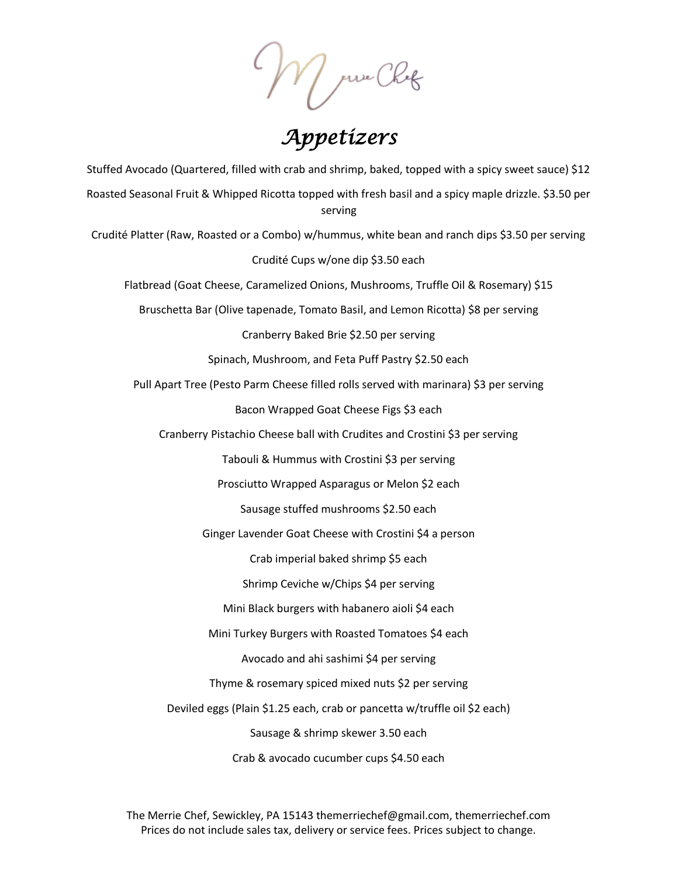*Appetizers* 

Stuffed Avocado (Quartered, filled with crab and shrimp, baked, topped with a spicy sweet sauce) \$12 Roasted Seasonal Fruit & Whipped Ricotta topped with fresh basil and a spicy maple drizzle. \$3.50 per serving Crudité Platter (Raw, Roasted or a Combo) w/hummus, white bean and ranch dips \$3.50 per serving Crudité Cups w/one dip \$3.50 each Flatbread (Goat Cheese, Caramelized Onions, Mushrooms, Truffle Oil & Rosemary) \$15 Bruschetta Bar (Olive tapenade, Tomato Basil, and Lemon Ricotta) \$8 per serving Cranberry Baked Brie \$2.50 per serving Spinach, Mushroom, and Feta Puff Pastry \$2.50 each Pull Apart Tree (Pesto Parm Cheese filled rolls served with marinara) \$3 per serving Bacon Wrapped Goat Cheese Figs \$3 each Cranberry Pistachio Cheese ball with Crudites and Crostini \$3 per serving Tabouli & Hummus with Crostini \$3 per serving Prosciutto Wrapped Asparagus or Melon \$2 each Sausage stuffed mushrooms \$2.50 each Ginger Lavender Goat Cheese with Crostini \$4 a person Crab imperial baked shrimp \$5 each Shrimp Ceviche w/Chips \$4 per serving Mini Black burgers with habanero aioli \$4 each Mini Turkey Burgers with Roasted Tomatoes \$4 each Avocado and ahi sashimi \$4 per serving Thyme & rosemary spiced mixed nuts \$2 per serving Deviled eggs (Plain \$1.25 each, crab or pancetta w/truffle oil \$2 each) Sausage & shrimp skewer 3.50 each Crab & avocado cucumber cups \$4.50 each

The Merrie Chef, Sewickley, PA 15143 themerriechef@gmail.com, themerriechef.com Prices do not include sales tax, delivery or service fees. Prices subject to change.